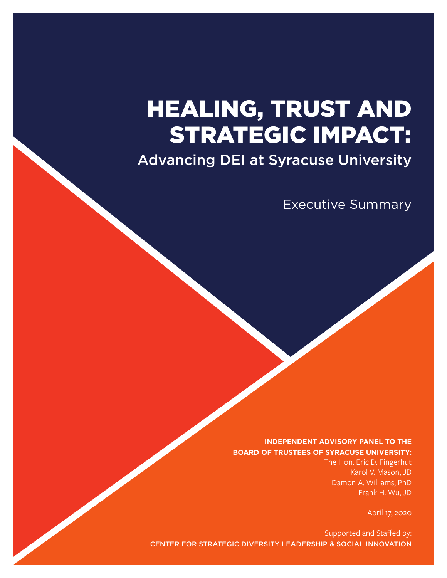# HEALING, TRUST AND STRATEGIC IMPACT:

Advancing DEI at Syracuse University

Executive Summary

#### **INDEPENDENT ADVISORY PANEL TO THE BOARD OF TRUSTEES OF SYRACUSE UNIVERSITY:**

The Hon. Eric D. Fingerhut Karol V. Mason, JD Damon A. Williams, PhD Frank H. Wu, JD

April 17, 2020

Supported and Staffed by: CENTER FOR STRATEGIC DIVERSITY LEADERSHIP & SOCIAL INNOVATION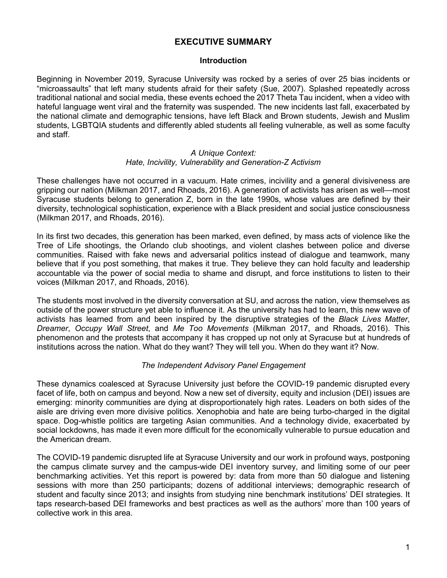# **EXECUTIVE SUMMARY**

#### **Introduction**

Beginning in November 2019, Syracuse University was rocked by a series of over 25 bias incidents or "microassaults" that left many students afraid for their safety (Sue, 2007). Splashed repeatedly across traditional national and social media, these events echoed the 2017 Theta Tau incident, when a video with hateful language went viral and the fraternity was suspended. The new incidents last fall, exacerbated by the national climate and demographic tensions, have left Black and Brown students, Jewish and Muslim students, LGBTQIA students and differently abled students all feeling vulnerable, as well as some faculty and staff.

#### *A Unique Context: Hate, Incivility, Vulnerability and Generation-Z Activism*

These challenges have not occurred in a vacuum. Hate crimes, incivility and a general divisiveness are gripping our nation (Milkman 2017, and Rhoads, 2016). A generation of activists has arisen as well—most Syracuse students belong to generation Z, born in the late 1990s, whose values are defined by their diversity, technological sophistication, experience with a Black president and social justice consciousness (Milkman 2017, and Rhoads, 2016).

In its first two decades, this generation has been marked, even defined, by mass acts of violence like the Tree of Life shootings, the Orlando club shootings, and violent clashes between police and diverse communities. Raised with fake news and adversarial politics instead of dialogue and teamwork, many believe that if you post something, that makes it true. They believe they can hold faculty and leadership accountable via the power of social media to shame and disrupt, and force institutions to listen to their voices (Milkman 2017, and Rhoads, 2016).

The students most involved in the diversity conversation at SU, and across the nation, view themselves as outside of the power structure yet able to influence it. As the university has had to learn, this new wave of activists has learned from and been inspired by the disruptive strategies of the *Black Lives Matter*, *Dreamer*, *Occupy Wall Street*, and *Me Too Movements* (Milkman 2017, and Rhoads, 2016). This phenomenon and the protests that accompany it has cropped up not only at Syracuse but at hundreds of institutions across the nation. What do they want? They will tell you. When do they want it? Now.

#### *The Independent Advisory Panel Engagement*

These dynamics coalesced at Syracuse University just before the COVID-19 pandemic disrupted every facet of life, both on campus and beyond. Now a new set of diversity, equity and inclusion (DEI) issues are emerging: minority communities are dying at disproportionately high rates. Leaders on both sides of the aisle are driving even more divisive politics. Xenophobia and hate are being turbo-charged in the digital space. Dog-whistle politics are targeting Asian communities. And a technology divide, exacerbated by social lockdowns, has made it even more difficult for the economically vulnerable to pursue education and the American dream.

The COVID-19 pandemic disrupted life at Syracuse University and our work in profound ways, postponing the campus climate survey and the campus-wide DEI inventory survey, and limiting some of our peer benchmarking activities. Yet this report is powered by: data from more than 50 dialogue and listening sessions with more than 250 participants; dozens of additional interviews; demographic research of student and faculty since 2013; and insights from studying nine benchmark institutions' DEI strategies. It taps research-based DEI frameworks and best practices as well as the authors' more than 100 years of collective work in this area.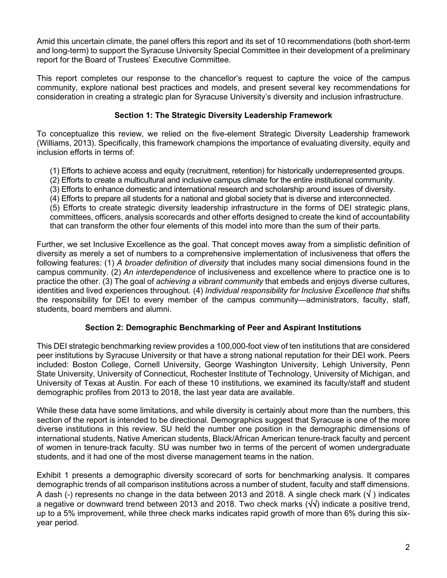Amid this uncertain climate, the panel offers this report and its set of 10 recommendations (both short-term and long-term) to support the Syracuse University Special Committee in their development of a preliminary report for the Board of Trustees' Executive Committee.

This report completes our response to the chancellor's request to capture the voice of the campus community, explore national best practices and models, and present several key recommendations for consideration in creating a strategic plan for Syracuse University's diversity and inclusion infrastructure.

### **Section 1: The Strategic Diversity Leadership Framework**

To conceptualize this review, we relied on the five-element Strategic Diversity Leadership framework (Williams, 2013). Specifically, this framework champions the importance of evaluating diversity, equity and inclusion efforts in terms of:

(1) Efforts to achieve access and equity (recruitment, retention) for historically underrepresented groups.

- (2) Efforts to create a multicultural and inclusive campus climate for the entire institutional community.
- (3) Efforts to enhance domestic and international research and scholarship around issues of diversity.

(4) Efforts to prepare all students for a national and global society that is diverse and interconnected.

(5) Efforts to create strategic diversity leadership infrastructure in the forms of DEI strategic plans, committees, officers, analysis scorecards and other efforts designed to create the kind of accountability that can transform the other four elements of this model into more than the sum of their parts.

Further, we set Inclusive Excellence as the goal. That concept moves away from a simplistic definition of diversity as merely a set of numbers to a comprehensive implementation of inclusiveness that offers the following features: (1) *A broader definition of diversity* that includes many social dimensions found in the campus community. (2) *An interdependence* of inclusiveness and excellence where to practice one is to practice the other. (3) The goal of *achieving a vibrant community* that embeds and enjoys diverse cultures, identities and lived experiences throughout. (4) *Individual responsibility for Inclusive Excellence that* shifts the responsibility for DEI to every member of the campus community—administrators, faculty, staff, students, board members and alumni.

# **Section 2: Demographic Benchmarking of Peer and Aspirant Institutions**

This DEI strategic benchmarking review provides a 100,000-foot view of ten institutions that are considered peer institutions by Syracuse University or that have a strong national reputation for their DEI work. Peers included: Boston College, Cornell University, George Washington University, Lehigh University, Penn State University, University of Connecticut, Rochester Institute of Technology, University of Michigan, and University of Texas at Austin. For each of these 10 institutions, we examined its faculty/staff and student demographic profiles from 2013 to 2018, the last year data are available.

While these data have some limitations, and while diversity is certainly about more than the numbers, this section of the report is intended to be directional. Demographics suggest that Syracuse is one of the more diverse institutions in this review. SU held the number one position in the demographic dimensions of international students, Native American students, Black/African American tenure-track faculty and percent of women in tenure-track faculty. SU was number two in terms of the percent of women undergraduate students, and it had one of the most diverse management teams in the nation.

Exhibit 1 presents a demographic diversity scorecard of sorts for benchmarking analysis. It compares demographic trends of all comparison institutions across a number of student, faculty and staff dimensions. A dash (-) represents no change in the data between 2013 and 2018. A single check mark ( $\sqrt{ }$ ) indicates a negative or downward trend between 2013 and 2018. Two check marks (√√) indicate a positive trend, up to a 5% improvement, while three check marks indicates rapid growth of more than 6% during this sixyear period.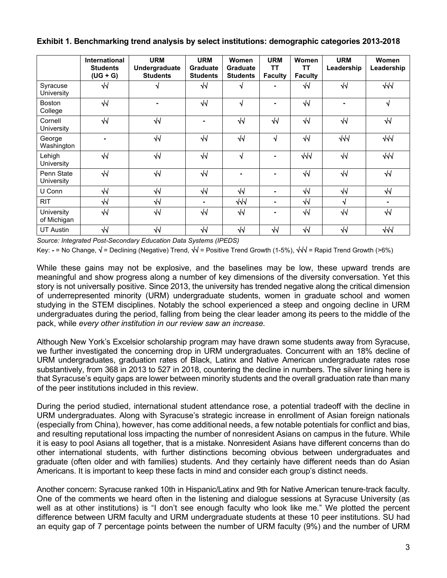|  |  | Exhibit 1. Benchmarking trend analysis by select institutions: demographic categories 2013-2018 |  |
|--|--|-------------------------------------------------------------------------------------------------|--|
|--|--|-------------------------------------------------------------------------------------------------|--|

|                           | International<br><b>Students</b><br>$(UG + G)$ | <b>URM</b><br>Undergraduate<br><b>Students</b> | <b>URM</b><br>Graduate<br><b>Students</b> | Women<br><b>Graduate</b><br><b>Students</b> | <b>URM</b><br><b>TT</b><br><b>Faculty</b> | Women<br>TΤ<br><b>Faculty</b> | <b>URM</b><br>Leadership | Women<br>Leadership |
|---------------------------|------------------------------------------------|------------------------------------------------|-------------------------------------------|---------------------------------------------|-------------------------------------------|-------------------------------|--------------------------|---------------------|
| Syracuse<br>University    | $\sqrt{ }$                                     | V                                              | $\sqrt{2}$                                | ึง                                          |                                           | $\sqrt{1}$                    | $\sqrt{2}$               | $\sqrt{\sqrt{}}$    |
| <b>Boston</b><br>College  | $\sqrt{2}$                                     | $\blacksquare$                                 | $\sqrt{2}$                                | √                                           |                                           | $\sqrt{2}$                    | $\overline{\phantom{0}}$ | $\sqrt{ }$          |
| Cornell<br>University     | $\sqrt{2}$                                     | $\sqrt{2}$                                     | ۰                                         | $\sqrt{2}$                                  | $\sqrt{ }$                                | $\sqrt{2}$                    | $\sqrt{2}$               | $\sqrt{2}$          |
| George<br>Washington      |                                                | $\sqrt{2}$                                     | $\sqrt{}$                                 | $\sqrt{2}$                                  | √                                         | $\sqrt{2}$                    | $\sqrt{\sqrt{}}$         | $\sqrt{\sqrt{}}$    |
| Lehigh<br>University      | $\sqrt{2}$                                     | $\sqrt{1}$                                     | $\sqrt{1}$                                | √                                           |                                           | $\sqrt{d}$                    | $\sqrt{ }$               | $\sqrt{\sqrt{}}$    |
| Penn State<br>University  | $\sqrt{2}$                                     | $\sqrt{2}$                                     | $\sqrt{2}$                                |                                             |                                           | $\sqrt{2}$                    | $\sqrt{2}$               | $\sqrt{ }$          |
| U Conn                    | $\sqrt{2}$                                     | $\sqrt{2}$                                     | $\sqrt{ }$                                | $\sqrt{2}$                                  |                                           | $\sqrt{2}$                    | $\sqrt{2}$               | $\sqrt{2}$          |
| <b>RIT</b>                | $\sqrt{2}$                                     | $\sqrt{1}$                                     | ۰                                         | $\sqrt{\sqrt{}}$                            |                                           | $\sqrt{2}$                    | $\sqrt{ }$               | $\blacksquare$      |
| University<br>of Michigan | $\sqrt{2}$                                     | $\sqrt{2}$                                     | $\sqrt{2}$                                | $\sqrt{2}$                                  |                                           | $\sqrt{2}$                    | $\sqrt{2}$               | $\sqrt{}$           |
| <b>UT Austin</b>          | $\sqrt{ }$                                     | $\sqrt{2}$                                     | $\sqrt{2}$                                | $\sqrt{2}$                                  | $\sqrt{ }$                                | $\sqrt{2}$                    | $\sqrt{2}$               | $\sqrt{11}$         |

*Source: Integrated Post-Secondary Education Data Systems (IPEDS)*

Key: **-** = No Change, √ = Declining (Negative) Trend, √√ = Positive Trend Growth (1-5%), √√√ = Rapid Trend Growth (>6%)

While these gains may not be explosive, and the baselines may be low, these upward trends are meaningful and show progress along a number of key dimensions of the diversity conversation. Yet this story is not universally positive. Since 2013, the university has trended negative along the critical dimension of underrepresented minority (URM) undergraduate students, women in graduate school and women studying in the STEM disciplines. Notably the school experienced a steep and ongoing decline in URM undergraduates during the period, falling from being the clear leader among its peers to the middle of the pack, while *every other institution in our review saw an increase.*

Although New York's Excelsior scholarship program may have drawn some students away from Syracuse, we further investigated the concerning drop in URM undergraduates. Concurrent with an 18% decline of URM undergraduates, graduation rates of Black, Latinx and Native American undergraduate rates rose substantively, from 368 in 2013 to 527 in 2018, countering the decline in numbers. The silver lining here is that Syracuse's equity gaps are lower between minority students and the overall graduation rate than many of the peer institutions included in this review.

During the period studied, international student attendance rose, a potential tradeoff with the decline in URM undergraduates. Along with Syracuse's strategic increase in enrollment of Asian foreign nationals (especially from China), however, has come additional needs, a few notable potentials for conflict and bias, and resulting reputational loss impacting the number of nonresident Asians on campus in the future. While it is easy to pool Asians all together, that is a mistake. Nonresident Asians have different concerns than do other international students, with further distinctions becoming obvious between undergraduates and graduate (often older and with families) students. And they certainly have different needs than do Asian Americans. It is important to keep these facts in mind and consider each group's distinct needs.

Another concern: Syracuse ranked 10th in Hispanic/Latinx and 9th for Native American tenure-track faculty. One of the comments we heard often in the listening and dialogue sessions at Syracuse University (as well as at other institutions) is "I don't see enough faculty who look like me." We plotted the percent difference between URM faculty and URM undergraduate students at these 10 peer institutions. SU had an equity gap of 7 percentage points between the number of URM faculty (9%) and the number of URM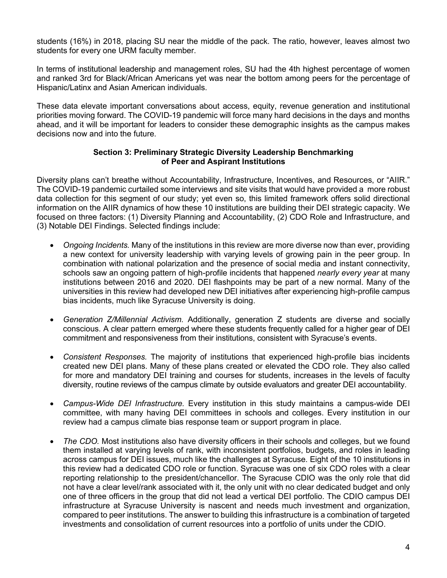students (16%) in 2018, placing SU near the middle of the pack. The ratio, however, leaves almost two students for every one URM faculty member.

In terms of institutional leadership and management roles, SU had the 4th highest percentage of women and ranked 3rd for Black/African Americans yet was near the bottom among peers for the percentage of Hispanic/Latinx and Asian American individuals.

These data elevate important conversations about access, equity, revenue generation and institutional priorities moving forward. The COVID-19 pandemic will force many hard decisions in the days and months ahead, and it will be important for leaders to consider these demographic insights as the campus makes decisions now and into the future.

#### **Section 3: Preliminary Strategic Diversity Leadership Benchmarking of Peer and Aspirant Institutions**

Diversity plans can't breathe without Accountability, Infrastructure, Incentives, and Resources, or "AIIR." The COVID-19 pandemic curtailed some interviews and site visits that would have provided a more robust data collection for this segment of our study; yet even so, this limited framework offers solid directional information on the AIIR dynamics of how these 10 institutions are building their DEI strategic capacity. We focused on three factors: (1) Diversity Planning and Accountability, (2) CDO Role and Infrastructure, and (3) Notable DEI Findings. Selected findings include:

- *Ongoing Incidents.* Many of the institutions in this review are more diverse now than ever, providing a new context for university leadership with varying levels of growing pain in the peer group. In combination with national polarization and the presence of social media and instant connectivity, schools saw an ongoing pattern of high-profile incidents that happened *nearly every year* at many institutions between 2016 and 2020. DEI flashpoints may be part of a new normal. Many of the universities in this review had developed new DEI initiatives after experiencing high-profile campus bias incidents, much like Syracuse University is doing.
- *Generation Z/Millennial Activism.* Additionally, generation Z students are diverse and socially conscious. A clear pattern emerged where these students frequently called for a higher gear of DEI commitment and responsiveness from their institutions, consistent with Syracuse's events.
- *Consistent Responses.* The majority of institutions that experienced high-profile bias incidents created new DEI plans. Many of these plans created or elevated the CDO role. They also called for more and mandatory DEI training and courses for students, increases in the levels of faculty diversity, routine reviews of the campus climate by outside evaluators and greater DEI accountability.
- *Campus-Wide DEI Infrastructure.* Every institution in this study maintains a campus-wide DEI committee, with many having DEI committees in schools and colleges. Every institution in our review had a campus climate bias response team or support program in place.
- *The CDO*. Most institutions also have diversity officers in their schools and colleges, but we found them installed at varying levels of rank, with inconsistent portfolios, budgets, and roles in leading across campus for DEI issues, much like the challenges at Syracuse. Eight of the 10 institutions in this review had a dedicated CDO role or function. Syracuse was one of six CDO roles with a clear reporting relationship to the president/chancellor. The Syracuse CDIO was the only role that did not have a clear level/rank associated with it, the only unit with no clear dedicated budget and only one of three officers in the group that did not lead a vertical DEI portfolio. The CDIO campus DEI infrastructure at Syracuse University is nascent and needs much investment and organization, compared to peer institutions. The answer to building this infrastructure is a combination of targeted investments and consolidation of current resources into a portfolio of units under the CDIO.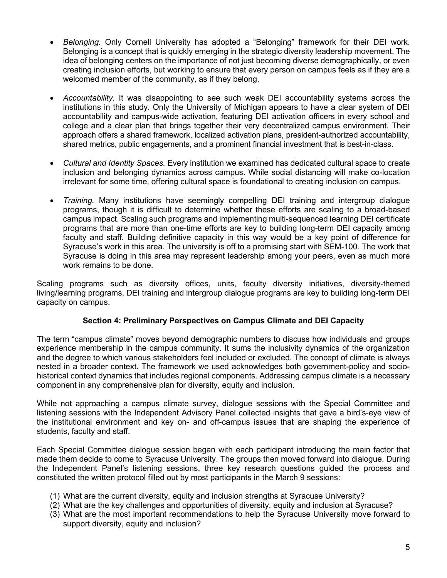- *Belonging.* Only Cornell University has adopted a "Belonging" framework for their DEI work. Belonging is a concept that is quickly emerging in the strategic diversity leadership movement. The idea of belonging centers on the importance of not just becoming diverse demographically, or even creating inclusion efforts, but working to ensure that every person on campus feels as if they are a welcomed member of the community, as if they belong.
- *Accountability.* It was disappointing to see such weak DEI accountability systems across the institutions in this study. Only the University of Michigan appears to have a clear system of DEI accountability and campus-wide activation, featuring DEI activation officers in every school and college and a clear plan that brings together their very decentralized campus environment. Their approach offers a shared framework, localized activation plans, president-authorized accountability, shared metrics, public engagements, and a prominent financial investment that is best-in-class.
- *Cultural and Identity Spaces.* Every institution we examined has dedicated cultural space to create inclusion and belonging dynamics across campus. While social distancing will make co-location irrelevant for some time, offering cultural space is foundational to creating inclusion on campus.
- *Training.* Many institutions have seemingly compelling DEI training and intergroup dialogue programs, though it is difficult to determine whether these efforts are scaling to a broad-based campus impact. Scaling such programs and implementing multi-sequenced learning DEI certificate programs that are more than one-time efforts are key to building long-term DEI capacity among faculty and staff. Building definitive capacity in this way would be a key point of difference for Syracuse's work in this area. The university is off to a promising start with SEM-100. The work that Syracuse is doing in this area may represent leadership among your peers, even as much more work remains to be done.

Scaling programs such as diversity offices, units, faculty diversity initiatives, diversity-themed living/learning programs, DEI training and intergroup dialogue programs are key to building long-term DEI capacity on campus.

#### **Section 4: Preliminary Perspectives on Campus Climate and DEI Capacity**

The term "campus climate" moves beyond demographic numbers to discuss how individuals and groups experience membership in the campus community. It sums the inclusivity dynamics of the organization and the degree to which various stakeholders feel included or excluded. The concept of climate is always nested in a broader context. The framework we used acknowledges both government-policy and sociohistorical context dynamics that includes regional components. Addressing campus climate is a necessary component in any comprehensive plan for diversity, equity and inclusion.

While not approaching a campus climate survey, dialogue sessions with the Special Committee and listening sessions with the Independent Advisory Panel collected insights that gave a bird's-eye view of the institutional environment and key on- and off-campus issues that are shaping the experience of students, faculty and staff.

Each Special Committee dialogue session began with each participant introducing the main factor that made them decide to come to Syracuse University. The groups then moved forward into dialogue. During the Independent Panel's listening sessions, three key research questions guided the process and constituted the written protocol filled out by most participants in the March 9 sessions:

- (1) What are the current diversity, equity and inclusion strengths at Syracuse University?
- (2) What are the key challenges and opportunities of diversity, equity and inclusion at Syracuse?
- (3) What are the most important recommendations to help the Syracuse University move forward to support diversity, equity and inclusion?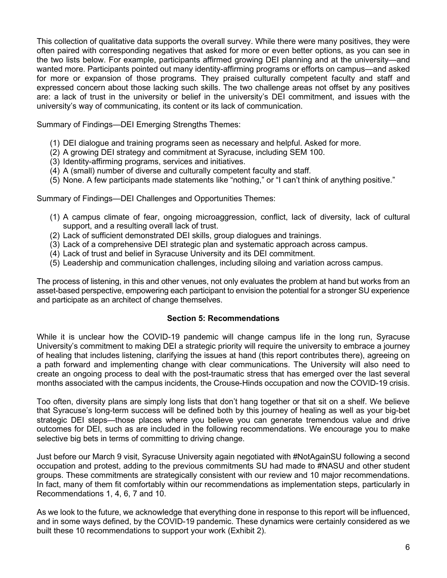This collection of qualitative data supports the overall survey. While there were many positives, they were often paired with corresponding negatives that asked for more or even better options, as you can see in the two lists below. For example, participants affirmed growing DEI planning and at the university—and wanted more. Participants pointed out many identity-affirming programs or efforts on campus—and asked for more or expansion of those programs. They praised culturally competent faculty and staff and expressed concern about those lacking such skills. The two challenge areas not offset by any positives are: a lack of trust in the university or belief in the university's DEI commitment, and issues with the university's way of communicating, its content or its lack of communication.

Summary of Findings—DEI Emerging Strengths Themes:

- (1) DEI dialogue and training programs seen as necessary and helpful. Asked for more.
- (2) A growing DEI strategy and commitment at Syracuse, including SEM 100.
- (3) Identity-affirming programs, services and initiatives.
- (4) A (small) number of diverse and culturally competent faculty and staff.
- (5) None. A few participants made statements like "nothing," or "I can't think of anything positive."

Summary of Findings—DEI Challenges and Opportunities Themes:

- (1) A campus climate of fear, ongoing microaggression, conflict, lack of diversity, lack of cultural support, and a resulting overall lack of trust.
- (2) Lack of sufficient demonstrated DEI skills, group dialogues and trainings.
- (3) Lack of a comprehensive DEI strategic plan and systematic approach across campus.
- (4) Lack of trust and belief in Syracuse University and its DEI commitment.
- (5) Leadership and communication challenges, including siloing and variation across campus.

The process of listening, in this and other venues, not only evaluates the problem at hand but works from an asset-based perspective, empowering each participant to envision the potential for a stronger SU experience and participate as an architect of change themselves.

#### **Section 5: Recommendations**

While it is unclear how the COVID-19 pandemic will change campus life in the long run, Syracuse University's commitment to making DEI a strategic priority will require the university to embrace a journey of healing that includes listening, clarifying the issues at hand (this report contributes there), agreeing on a path forward and implementing change with clear communications. The University will also need to create an ongoing process to deal with the post-traumatic stress that has emerged over the last several months associated with the campus incidents, the Crouse-Hinds occupation and now the COVID-19 crisis.

Too often, diversity plans are simply long lists that don't hang together or that sit on a shelf. We believe that Syracuse's long-term success will be defined both by this journey of healing as well as your big-bet strategic DEI steps—those places where you believe you can generate tremendous value and drive outcomes for DEI, such as are included in the following recommendations. We encourage you to make selective big bets in terms of committing to driving change.

Just before our March 9 visit, Syracuse University again negotiated with #NotAgainSU following a second occupation and protest, adding to the previous commitments SU had made to #NASU and other student groups. These commitments are strategically consistent with our review and 10 major recommendations. In fact, many of them fit comfortably within our recommendations as implementation steps, particularly in Recommendations 1, 4, 6, 7 and 10.

As we look to the future, we acknowledge that everything done in response to this report will be influenced, and in some ways defined, by the COVID-19 pandemic. These dynamics were certainly considered as we built these 10 recommendations to support your work (Exhibit 2).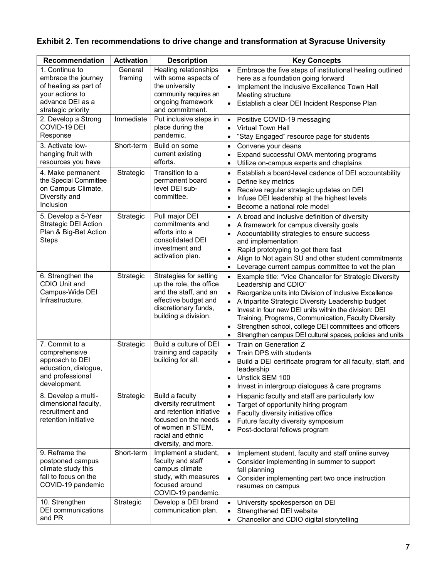# **Exhibit 2. Ten recommendations to drive change and transformation at Syracuse University**

| Recommendation                                                                                                              | <b>Activation</b>  | <b>Description</b>                                                                                                                                             | <b>Key Concepts</b>                                                                                                                                                                                                                                                                                                                                                                                                                                                                                      |
|-----------------------------------------------------------------------------------------------------------------------------|--------------------|----------------------------------------------------------------------------------------------------------------------------------------------------------------|----------------------------------------------------------------------------------------------------------------------------------------------------------------------------------------------------------------------------------------------------------------------------------------------------------------------------------------------------------------------------------------------------------------------------------------------------------------------------------------------------------|
| 1. Continue to<br>embrace the journey<br>of healing as part of<br>your actions to<br>advance DEI as a<br>strategic priority | General<br>framing | Healing relationships<br>with some aspects of<br>the university<br>community requires an<br>ongoing framework<br>and commitment.                               | Embrace the five steps of institutional healing outlined<br>$\bullet$<br>here as a foundation going forward<br>Implement the Inclusive Excellence Town Hall<br>$\bullet$<br>Meeting structure<br>Establish a clear DEI Incident Response Plan<br>$\bullet$                                                                                                                                                                                                                                               |
| 2. Develop a Strong<br>COVID-19 DEI<br>Response                                                                             | Immediate          | Put inclusive steps in<br>place during the<br>pandemic.                                                                                                        | Positive COVID-19 messaging<br>$\bullet$<br>Virtual Town Hall<br>$\bullet$<br>"Stay Engaged" resource page for students<br>$\bullet$                                                                                                                                                                                                                                                                                                                                                                     |
| 3. Activate low-<br>hanging fruit with<br>resources you have                                                                | Short-term         | Build on some<br>current existing<br>efforts.                                                                                                                  | Convene your deans<br>$\bullet$<br>Expand successful OMA mentoring programs<br>$\bullet$<br>Utilize on-campus experts and chaplains<br>$\bullet$                                                                                                                                                                                                                                                                                                                                                         |
| 4. Make permanent<br>the Special Committee<br>on Campus Climate,<br>Diversity and<br>Inclusion                              | Strategic          | Transition to a<br>permanent board<br>level DEI sub-<br>committee.                                                                                             | Establish a board-level cadence of DEI accountability<br>$\bullet$<br>Define key metrics<br>$\bullet$<br>Receive regular strategic updates on DEI<br>٠<br>Infuse DEI leadership at the highest levels<br>$\bullet$<br>Become a national role model<br>$\bullet$                                                                                                                                                                                                                                          |
| 5. Develop a 5-Year<br>Strategic DEI Action<br>Plan & Big-Bet Action<br><b>Steps</b>                                        | Strategic          | Pull major DEI<br>commitments and<br>efforts into a<br>consolidated DEI<br>investment and<br>activation plan.                                                  | A broad and inclusive definition of diversity<br>$\bullet$<br>A framework for campus diversity goals<br>٠<br>Accountability strategies to ensure success<br>$\bullet$<br>and implementation<br>Rapid prototyping to get there fast<br>$\bullet$<br>Align to Not again SU and other student commitments<br>$\bullet$<br>Leverage current campus committee to vet the plan<br>$\bullet$                                                                                                                    |
| 6. Strengthen the<br>CDIO Unit and<br>Campus-Wide DEI<br>Infrastructure.                                                    | Strategic          | Strategies for setting<br>up the role, the office<br>and the staff, and an<br>effective budget and<br>discretionary funds,<br>building a division.             | Example title: "Vice Chancellor for Strategic Diversity<br>$\bullet$<br>Leadership and CDIO"<br>Reorganize units into Division of Inclusive Excellence<br>A tripartite Strategic Diversity Leadership budget<br>$\bullet$<br>Invest in four new DEI units within the division: DEI<br>$\bullet$<br>Training, Programs, Communication, Faculty Diversity<br>Strengthen school, college DEI committees and officers<br>$\bullet$<br>Strengthen campus DEI cultural spaces, policies and units<br>$\bullet$ |
| 7. Commit to a<br>comprehensive<br>approach to DEI<br>education, dialogue,<br>and professional<br>development.              | Strategic          | Build a culture of DEI<br>training and capacity<br>building for all.                                                                                           | Train on Generation Z<br>$\bullet$<br>Train DPS with students<br>$\bullet$<br>Build a DEI certificate program for all faculty, staff, and<br>$\bullet$<br>leadership<br>Unstick SEM 100<br>$\bullet$<br>Invest in intergroup dialogues & care programs<br>$\bullet$                                                                                                                                                                                                                                      |
| 8. Develop a multi-<br>dimensional faculty,<br>recruitment and<br>retention initiative                                      | Strategic          | Build a faculty<br>diversity recruitment<br>and retention initiative<br>focused on the needs<br>of women in STEM,<br>racial and ethnic<br>diversity, and more. | Hispanic faculty and staff are particularly low<br>$\bullet$<br>Target of opportunity hiring program<br>$\bullet$<br>Faculty diversity initiative office<br>$\bullet$<br>Future faculty diversity symposium<br>$\bullet$<br>Post-doctoral fellows program<br>$\bullet$                                                                                                                                                                                                                                   |
| 9. Reframe the<br>postponed campus<br>climate study this<br>fall to focus on the<br>COVID-19 pandemic                       | Short-term         | Implement a student,<br>faculty and staff<br>campus climate<br>study, with measures<br>focused around<br>COVID-19 pandemic.                                    | Implement student, faculty and staff online survey<br>$\bullet$<br>Consider implementing in summer to support<br>$\bullet$<br>fall planning<br>Consider implementing part two once instruction<br>$\bullet$<br>resumes on campus                                                                                                                                                                                                                                                                         |
| 10. Strengthen<br><b>DEI</b> communications<br>and PR                                                                       | Strategic          | Develop a DEI brand<br>communication plan.                                                                                                                     | University spokesperson on DEI<br>$\bullet$<br>Strengthened DEI website<br>$\bullet$<br>Chancellor and CDIO digital storytelling<br>$\bullet$                                                                                                                                                                                                                                                                                                                                                            |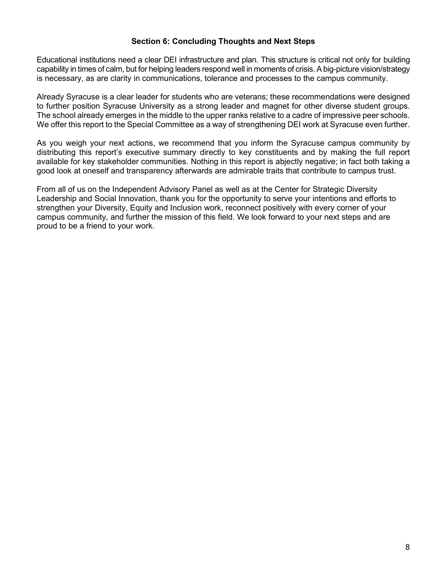#### **Section 6: Concluding Thoughts and Next Steps**

Educational institutions need a clear DEI infrastructure and plan. This structure is critical not only for building capability in times of calm, but for helping leaders respond well in moments of crisis. A big-picture vision/strategy is necessary, as are clarity in communications, tolerance and processes to the campus community.

Already Syracuse is a clear leader for students who are veterans; these recommendations were designed to further position Syracuse University as a strong leader and magnet for other diverse student groups. The school already emerges in the middle to the upper ranks relative to a cadre of impressive peer schools. We offer this report to the Special Committee as a way of strengthening DEI work at Syracuse even further.

As you weigh your next actions, we recommend that you inform the Syracuse campus community by distributing this report's executive summary directly to key constituents and by making the full report available for key stakeholder communities. Nothing in this report is abjectly negative; in fact both taking a good look at oneself and transparency afterwards are admirable traits that contribute to campus trust.

From all of us on the Independent Advisory Panel as well as at the Center for Strategic Diversity Leadership and Social Innovation, thank you for the opportunity to serve your intentions and efforts to strengthen your Diversity, Equity and Inclusion work, reconnect positively with every corner of your campus community, and further the mission of this field. We look forward to your next steps and are proud to be a friend to your work.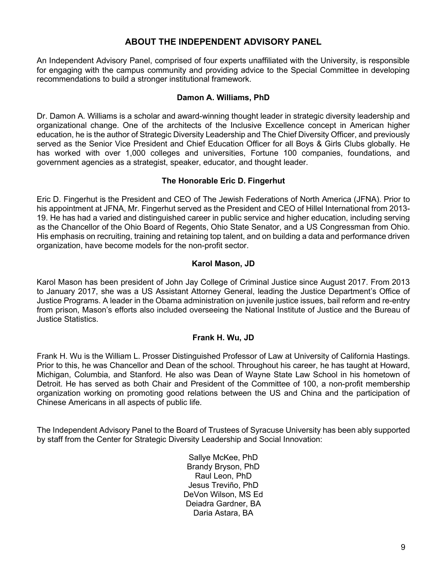# **ABOUT THE INDEPENDENT ADVISORY PANEL**

An Independent Advisory Panel, comprised of four experts unaffiliated with the University, is responsible for engaging with the campus community and providing advice to the Special Committee in developing recommendations to build a stronger institutional framework.

#### **Damon A. Williams, PhD**

Dr. Damon A. Williams is a scholar and award-winning thought leader in strategic diversity leadership and organizational change. One of the architects of the Inclusive Excellence concept in American higher education, he is the author of Strategic Diversity Leadership and The Chief Diversity Officer, and previously served as the Senior Vice President and Chief Education Officer for all Boys & Girls Clubs globally. He has worked with over 1,000 colleges and universities, Fortune 100 companies, foundations, and government agencies as a strategist, speaker, educator, and thought leader.

#### **The Honorable Eric D. Fingerhut**

Eric D. Fingerhut is the President and CEO of The Jewish Federations of North America (JFNA). Prior to his appointment at JFNA, Mr. Fingerhut served as the President and CEO of Hillel International from 2013- 19. He has had a varied and distinguished career in public service and higher education, including serving as the Chancellor of the Ohio Board of Regents, Ohio State Senator, and a US Congressman from Ohio. His emphasis on recruiting, training and retaining top talent, and on building a data and performance driven organization, have become models for the non-profit sector.

#### **Karol Mason, JD**

Karol Mason has been president of John Jay College of Criminal Justice since August 2017. From 2013 to January 2017, she was a US Assistant Attorney General, leading the Justice Department's Office of Justice Programs. A leader in the Obama administration on juvenile justice issues, bail reform and re-entry from prison, Mason's efforts also included overseeing the National Institute of Justice and the Bureau of Justice Statistics.

#### **Frank H. Wu, JD**

Frank H. Wu is the William L. Prosser Distinguished Professor of Law at University of California Hastings. Prior to this, he was Chancellor and Dean of the school. Throughout his career, he has taught at Howard, Michigan, Columbia, and Stanford. He also was Dean of Wayne State Law School in his hometown of Detroit. He has served as both Chair and President of the Committee of 100, a non-profit membership organization working on promoting good relations between the US and China and the participation of Chinese Americans in all aspects of public life.

The Independent Advisory Panel to the Board of Trustees of Syracuse University has been ably supported by staff from the Center for Strategic Diversity Leadership and Social Innovation:

> Sallye McKee, PhD Brandy Bryson, PhD Raul Leon, PhD Jesus Treviño, PhD DeVon Wilson, MS Ed Deiadra Gardner, BA Daria Astara, BA